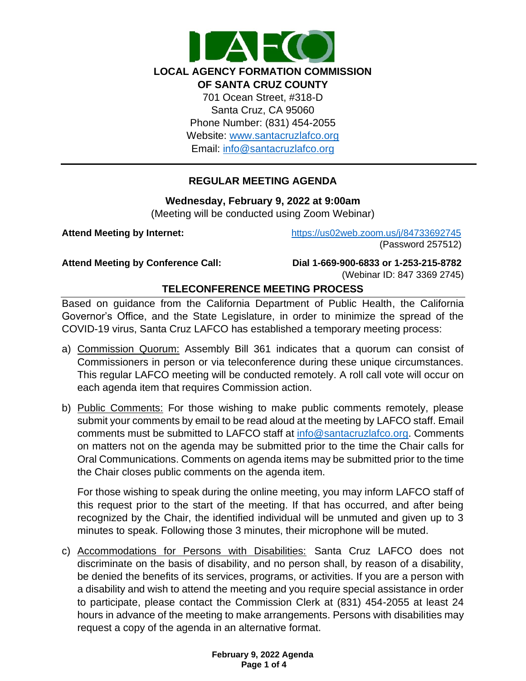

# **REGULAR MEETING AGENDA**

#### **Wednesday, February 9, 2022 at 9:00am**

(Meeting will be conducted using Zoom Webinar)

**Attend Meeting by Internet:** <https://us02web.zoom.us/j/84733692745> (Password 257512)

**Attend Meeting by Conference Call: Dial 1-669-900-6833 or 1-253-215-8782**  (Webinar ID: 847 3369 2745)

# **TELECONFERENCE MEETING PROCESS**

Based on guidance from the California Department of Public Health, the California Governor's Office, and the State Legislature, in order to minimize the spread of the COVID-19 virus, Santa Cruz LAFCO has established a temporary meeting process:

- a) Commission Quorum: Assembly Bill 361 indicates that a quorum can consist of Commissioners in person or via teleconference during these unique circumstances. This regular LAFCO meeting will be conducted remotely. A roll call vote will occur on each agenda item that requires Commission action.
- b) Public Comments: For those wishing to make public comments remotely, please submit your comments by email to be read aloud at the meeting by LAFCO staff. Email comments must be submitted to LAFCO staff at [info@santacruzlafco.org.](mailto:info@santacruzlafco.org) Comments on matters not on the agenda may be submitted prior to the time the Chair calls for Oral Communications. Comments on agenda items may be submitted prior to the time the Chair closes public comments on the agenda item.

For those wishing to speak during the online meeting, you may inform LAFCO staff of this request prior to the start of the meeting. If that has occurred, and after being recognized by the Chair, the identified individual will be unmuted and given up to 3 minutes to speak. Following those 3 minutes, their microphone will be muted.

c) Accommodations for Persons with Disabilities: Santa Cruz LAFCO does not discriminate on the basis of disability, and no person shall, by reason of a disability, be denied the benefits of its services, programs, or activities. If you are a person with a disability and wish to attend the meeting and you require special assistance in order to participate, please contact the Commission Clerk at (831) 454-2055 at least 24 hours in advance of the meeting to make arrangements. Persons with disabilities may request a copy of the agenda in an alternative format.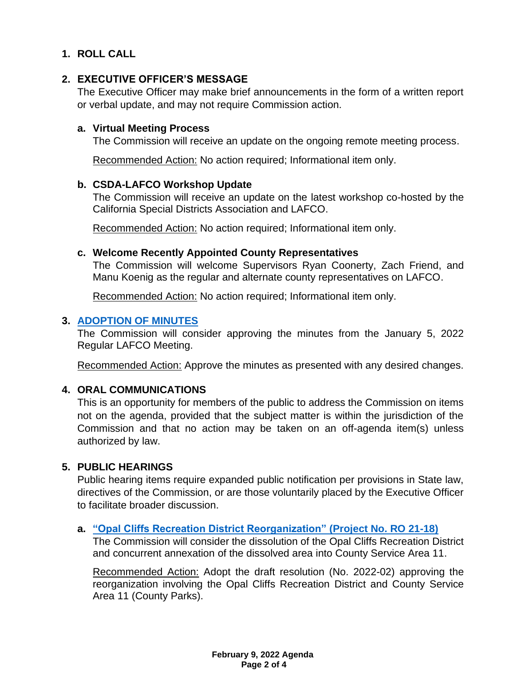# **1. ROLL CALL**

## **2. EXECUTIVE OFFICER'S MESSAGE**

The Executive Officer may make brief announcements in the form of a written report or verbal update, and may not require Commission action.

#### **a. Virtual Meeting Process**

The Commission will receive an update on the ongoing remote meeting process.

Recommended Action: No action required; Informational item only.

#### **b. CSDA-LAFCO Workshop Update**

The Commission will receive an update on the latest workshop co-hosted by the California Special Districts Association and LAFCO.

Recommended Action: No action required; Informational item only.

#### **c. Welcome Recently Appointed County Representatives**

The Commission will welcome Supervisors Ryan Coonerty, Zach Friend, and Manu Koenig as the regular and alternate county representatives on LAFCO.

Recommended Action: No action required; Informational item only.

### **3. [ADOPTION OF MINUTES](https://www.santacruzlafco.org/wp-content/uploads/2022/01/3.0-Draft-Minutes-Jan-5-Meeting.pdf)**

The Commission will consider approving the minutes from the January 5, 2022 Regular LAFCO Meeting.

Recommended Action: Approve the minutes as presented with any desired changes.

# **4. ORAL COMMUNICATIONS**

This is an opportunity for members of the public to address the Commission on items not on the agenda, provided that the subject matter is within the jurisdiction of the Commission and that no action may be taken on an off-agenda item(s) unless authorized by law.

### **5. PUBLIC HEARINGS**

Public hearing items require expanded public notification per provisions in State law, directives of the Commission, or are those voluntarily placed by the Executive Officer to facilitate broader discussion.

### **a. ["Opal Cliffs Recreation District Reorganization"](https://www.santacruzlafco.org/wp-content/uploads/2022/01/5a.0-RO-21-18-Staff-Report_Hyperlink.pdf) (Project No. RO 21-18)**

The Commission will consider the dissolution of the Opal Cliffs Recreation District and concurrent annexation of the dissolved area into County Service Area 11.

Recommended Action: Adopt the draft resolution (No. 2022-02) approving the reorganization involving the Opal Cliffs Recreation District and County Service Area 11 (County Parks).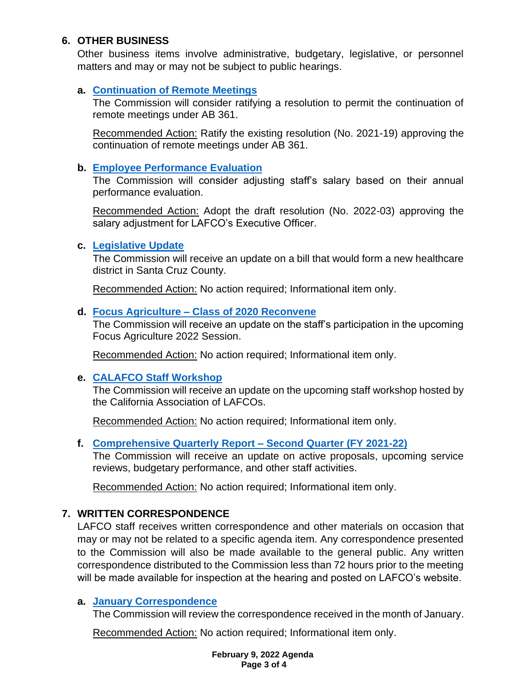# **6. OTHER BUSINESS**

Other business items involve administrative, budgetary, legislative, or personnel matters and may or may not be subject to public hearings.

# **a. [Continuation of Remote Meetings](https://www.santacruzlafco.org/wp-content/uploads/2022/01/6a.0-AB-361-Update-Staff-Report_Hyperlink.pdf)**

The Commission will consider ratifying a resolution to permit the continuation of remote meetings under AB 361.

Recommended Action: Ratify the existing resolution (No. 2021-19) approving the continuation of remote meetings under AB 361.

# **b. [Employee Performance Evaluation](https://www.santacruzlafco.org/wp-content/uploads/2022/01/6b.0-Performance-Eval-Staff-Report_Hyperlink.pdf)**

The Commission will consider adjusting staff's salary based on their annual performance evaluation.

Recommended Action: Adopt the draft resolution (No. 2022-03) approving the salary adjustment for LAFCO's Executive Officer.

# **c. [Legislative Update](https://www.santacruzlafco.org/wp-content/uploads/2022/01/6c.0-Leg-Update-Staff-Report_Hyperlink.pdf)**

The Commission will receive an update on a bill that would form a new healthcare district in Santa Cruz County.

Recommended Action: No action required; Informational item only.

# **d. Focus Agriculture – [Class of 2020 Reconvene](https://www.santacruzlafco.org/wp-content/uploads/2022/01/6d.0-Focus-Agriculture-Staff-Report_Hyperlink.pdf)**

The Commission will receive an update on the staff's participation in the upcoming Focus Agriculture 2022 Session.

Recommended Action: No action required; Informational item only.

# **e. [CALAFCO Staff Workshop](https://www.santacruzlafco.org/wp-content/uploads/2022/01/6e.0-CALAFCO-Workshop-Staff-Report_Hyperlink.pdf)**

The Commission will receive an update on the upcoming staff workshop hosted by the California Association of LAFCOs.

Recommended Action: No action required; Informational item only.

# **f. [Comprehensive Quarterly Report –](https://www.santacruzlafco.org/wp-content/uploads/2022/01/6f.0-Comp-Quarterly-Update-Staff-Report_Hyperlink.pdf) Second Quarter (FY 2021-22)**

The Commission will receive an update on active proposals, upcoming service reviews, budgetary performance, and other staff activities.

Recommended Action: No action required; Informational item only.

# **7. WRITTEN CORRESPONDENCE**

LAFCO staff receives written correspondence and other materials on occasion that may or may not be related to a specific agenda item. Any correspondence presented to the Commission will also be made available to the general public. Any written correspondence distributed to the Commission less than 72 hours prior to the meeting will be made available for inspection at the hearing and posted on LAFCO's website.

# **a. [January Correspondence](https://www.santacruzlafco.org/wp-content/uploads/2022/01/7a.0-Jan-Correspondence-Staff-Report_Hyperlink.pdf)**

The Commission will review the correspondence received in the month of January.

Recommended Action: No action required; Informational item only.